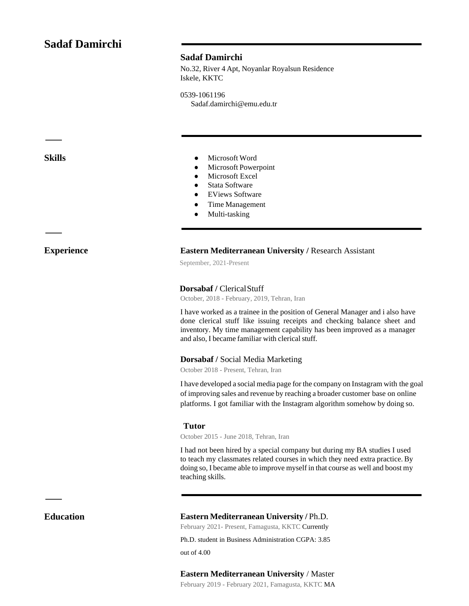# **Sadaf Damirchi**

## **Sadaf Damirchi**

No.32, River 4 Apt, Noyanlar Royalsun Residence Iskele, KKTC

0539-1061196 Sadaf.damirchi@emu.edu.tr

ㅡ

ㅡ

- **Skills** Microsoft Word
	- Microsoft Powerpoint
	- Microsoft Excel
	- Stata Software
	- EViews Software
	- Time Management
	- Multi-tasking

### **Experience Eastern Mediterranean University / Research Assistant**

September, 2021-Present

### **Dorsabaf /** ClericalStuff

October, 2018 - February, 2019, Tehran, Iran

I have worked as a trainee in the position of General Manager and i also have done clerical stuff like issuing receipts and checking balance sheet and inventory. My time management capability has been improved as a manager and also, I became familiar with clerical stuff.

### **Dorsabaf /** Social Media Marketing

October 2018 - Present, Tehran, Iran

I have developed a social media page for the company on Instagram with the goal of improving sales and revenue by reaching a broader customer base on online platforms. I got familiar with the Instagram algorithm somehow by doing so.

#### **Tutor**

October 2015 - June 2018, Tehran, Iran

I had not been hired by a special company but during my BA studies I used to teach my classmates related courses in which they need extra practice. By doing so, I became able to improve myself in that course as well and boost my teaching skills.

ㅡ

## **Education Eastern Mediterranean University /** Ph.D.

February 2021- Present, Famagusta, KKTC Currently

Ph.D. student in Business Administration CGPA: 3.85

out of 4.00

#### **Eastern Mediterranean University** / Master

February 2019 - February 2021, Famagusta, KKTC MA